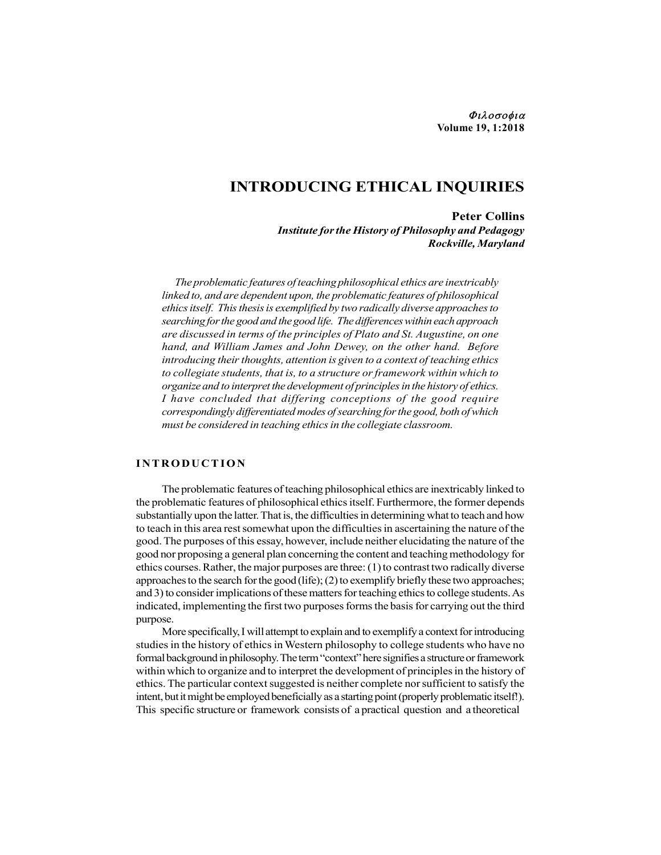# INTRODUCING ETHICAL INQUIRIES

Peter Collins Institute for the History of Philosophy and Pedagogy Rockville, Maryland

The problematic features of teaching philosophical ethics are inextricably linked to, and are dependent upon, the problematic features of philosophical ethics itself. This thesis is exemplified by two radically diverse approaches to searching for the good and the good life. The differences within each approach are discussed in terms of the principles of Plato and St. Augustine, on one hand, and William James and John Dewey, on the other hand. Before introducing their thoughts, attention is given to a context of teaching ethics to collegiate students, that is, to a structure or framework within which to organize and to interpret the development of principles in the history of ethics. I have concluded that differing conceptions of the good require correspondingly differentiated modes of searching for the good, both of which must be considered in teaching ethics in the collegiate classroom. **INTRODUCING ETHICAL INQUIRIES**<br> **Peter Collins**<br> **Peter Collins**<br> **Peter Collins**<br> **Interference in the History of Philosophy and Pedagogy**<br> **Rockville, Maryland**<br> **Interference in the Equality interference in the problem** 

The problematic features of teaching philosophical ethics are inextricably linked to the problematic features of philosophical ethics itself. Furthermore, the former depends substantially upon the latter. That is, the difficulties in determining what to teach and how to teach in this area rest somewhat upon the difficulties in ascertaining the nature of the good. The purposes of this essay, however, include neither elucidating the nature of the good nor proposing a general plan concerning the content and teaching methodology for ethics courses. Rather, the major purposes are three: (1) to contrast two radically diverse approaches to the search for the good (life); (2) to exemplify briefly these two approaches; and 3) to consider implications of these matters for teaching ethics to college students. As indicated, implementing the first two purposes forms the basis for carrying out the third purpose.

More specifically, I will attempt to explain and to exemplify a context for introducing studies in the history of ethics in Western philosophy to college students who have no formal background in philosophy. The term "context" here signifies a structure or framework within which to organize and to interpret the development of principles in the history of ethics. The particular context suggested is neither complete nor sufficient to satisfy the intent, but it might be employed beneficially as a starting point (properly problematic itself!). This specific structure or framework consists of a practical question and a theoretical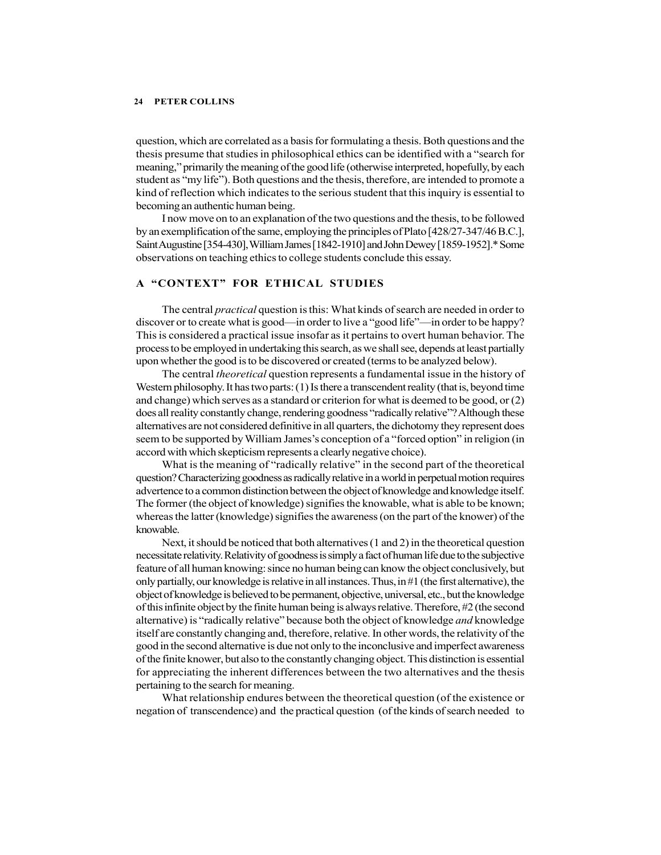question, which are correlated as a basis for formulating a thesis. Both questions and the thesis presume that studies in philosophical ethics can be identified with a "search for meaning," primarily the meaning of the good life (otherwise interpreted, hopefully, by each student as "my life"). Both questions and the thesis, therefore, are intended to promote a kind of reflection which indicates to the serious student that this inquiry is essential to becoming an authentic human being.

I now move on to an explanation of the two questions and the thesis, to be followed by an exemplification of the same, employing the principles of Plato [428/27-347/46 B.C.], Saint Augustine [354-430], William James [1842-1910] and John Dewey [1859-1952].\* Some observations on teaching ethics to college students conclude this essay.

## A "CONTEXT" FOR ETHICAL STUDIES

The central practical question is this: What kinds of search are needed in order to discover or to create what is good—in order to live a "good life"—in order to be happy? This is considered a practical issue insofar as it pertains to overt human behavior. The process to be employed in undertaking this search, as we shall see, depends at least partially upon whether the good is to be discovered or created (terms to be analyzed below).

The central *theoretical* question represents a fundamental issue in the history of Western philosophy. It has two parts: (1) Is there a transcendent reality (that is, beyond time and change) which serves as a standard or criterion for what is deemed to be good, or (2) does all reality constantly change, rendering goodness "radically relative"? Although these alternatives are not considered definitive in all quarters, the dichotomy they represent does seem to be supported by William James's conception of a "forced option" in religion (in accord with which skepticism represents a clearly negative choice).

What is the meaning of "radically relative" in the second part of the theoretical question? Characterizing goodness as radically relative in a world in perpetual motion requires advertence to a common distinction between the object of knowledge and knowledge itself. The former (the object of knowledge) signifies the knowable, what is able to be known; whereas the latter (knowledge) signifies the awareness (on the part of the knower) of the knowable.

Next, it should be noticed that both alternatives (1 and 2) in the theoretical question necessitate relativity. Relativity of goodness is simply a fact of human life due to the subjective feature of all human knowing: since no human being can know the object conclusively, but only partially, our knowledge is relative in all instances. Thus, in  $#1$  (the first alternative), the object of knowledge is believed to be permanent, objective, universal, etc., but the knowledge of this infinite object by the finite human being is always relative. Therefore, #2 (the second alternative) is "radically relative" because both the object of knowledge *and* knowledge itself are constantly changing and, therefore, relative. In other words, the relativity of the good in the second alternative is due not only to the inconclusive and imperfect awareness of the finite knower, but also to the constantly changing object. This distinction is essential for appreciating the inherent differences between the two alternatives and the thesis pertaining to the search for meaning.

What relationship endures between the theoretical question (of the existence or negation of transcendence) and the practical question (of the kinds of search needed to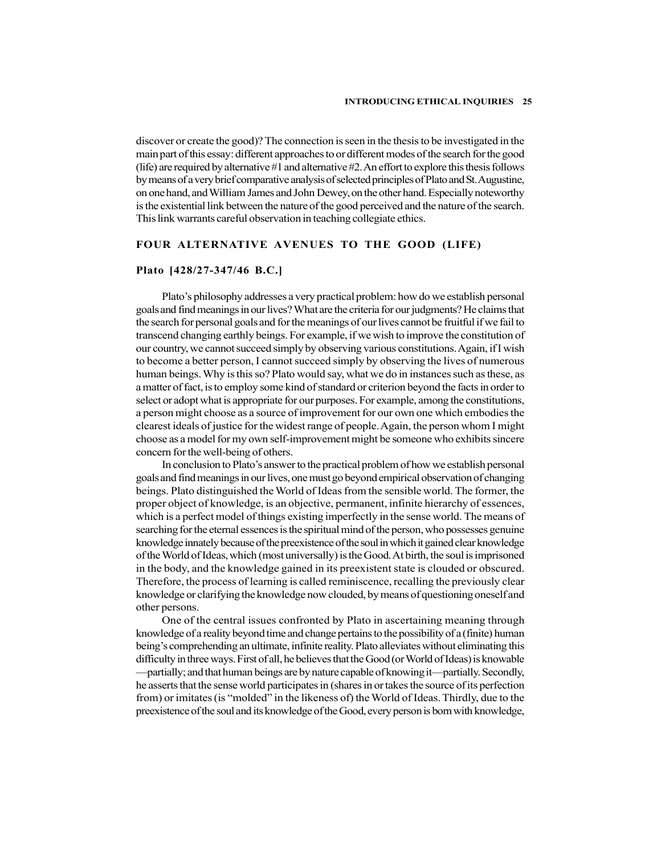discover or create the good)? The connection is seen in the thesis to be investigated in the main part of this essay: different approaches to or different modes of the search for the good (life) are required by alternative #1 and alternative #2. An effort to explore this thesis follows by means of a very brief comparative analysis of selected principles of Plato and St. Augustine, on one hand, and William James and John Dewey, on the other hand. Especially noteworthy is the existential link between the nature of the good perceived and the nature of the search. This link warrants careful observation in teaching collegiate ethics.

## FOUR ALTERNATIVE AVENUES TO THE GOOD (LIFE)

## Plato [428/27-347/46 B.C.]

Plato's philosophy addresses a very practical problem: how do we establish personal goals and find meanings in our lives? What are the criteria for our judgments? He claims that the search for personal goals and for the meanings of our lives cannot be fruitful if we fail to transcend changing earthly beings. For example, if we wish to improve the constitution of our country, we cannot succeed simply by observing various constitutions. Again, if I wish to become a better person, I cannot succeed simply by observing the lives of numerous human beings. Why is this so? Plato would say, what we do in instances such as these, as a matter of fact, is to employ some kind of standard or criterion beyond the facts in order to select or adopt what is appropriate for our purposes. For example, among the constitutions, a person might choose as a source of improvement for our own one which embodies the clearest ideals of justice for the widest range of people. Again, the person whom I might choose as a model for my own self-improvement might be someone who exhibits sincere concern for the well-being of others.

In conclusion to Plato's answer to the practical problem of how we establish personal goals and find meanings in our lives, one must go beyond empirical observation of changing beings. Plato distinguished the World of Ideas from the sensible world. The former, the proper object of knowledge, is an objective, permanent, infinite hierarchy of essences, which is a perfect model of things existing imperfectly in the sense world. The means of searching for the eternal essences is the spiritual mind of the person, who possesses genuine knowledge innately because of the preexistence of the soul in which it gained clear knowledge of the World of Ideas, which (most universally) is the Good. At birth, the soul is imprisoned in the body, and the knowledge gained in its preexistent state is clouded or obscured. Therefore, the process of learning is called reminiscence, recalling the previously clear knowledge or clarifying the knowledge now clouded, by means of questioning oneself and other persons.

One of the central issues confronted by Plato in ascertaining meaning through knowledge of a reality beyond time and change pertains to the possibility of a (finite) human being's comprehending an ultimate, infinite reality. Plato alleviates without eliminating this difficulty in three ways. First of all, he believes that the Good (or World of Ideas) is knowable —partially; and that human beings are by nature capable of knowing it—partially. Secondly, he asserts that the sense world participates in (shares in or takes the source of its perfection from) or imitates (is "molded" in the likeness of) the World of Ideas. Thirdly, due to the preexistence of the soul and its knowledge of the Good, every person is born with knowledge,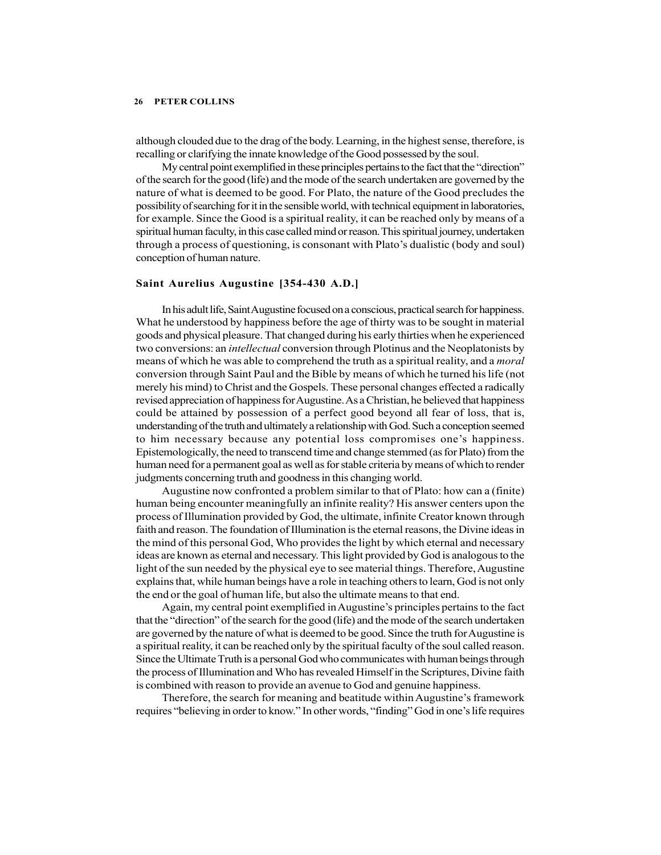although clouded due to the drag of the body. Learning, in the highest sense, therefore, is recalling or clarifying the innate knowledge of the Good possessed by the soul.

My central point exemplified in these principles pertains to the fact that the "direction" of the search for the good (life) and the mode of the search undertaken are governed by the nature of what is deemed to be good. For Plato, the nature of the Good precludes the possibility of searching for it in the sensible world, with technical equipment in laboratories, for example. Since the Good is a spiritual reality, it can be reached only by means of a spiritual human faculty, in this case called mind or reason. This spiritual journey, undertaken through a process of questioning, is consonant with Plato's dualistic (body and soul) conception of human nature.

## Saint Aurelius Augustine [354-430 A.D.]

In his adult life, Saint Augustine focused on a conscious, practical search for happiness. What he understood by happiness before the age of thirty was to be sought in material goods and physical pleasure. That changed during his early thirties when he experienced two conversions: an intellectual conversion through Plotinus and the Neoplatonists by means of which he was able to comprehend the truth as a spiritual reality, and a *moral* conversion through Saint Paul and the Bible by means of which he turned his life (not merely his mind) to Christ and the Gospels. These personal changes effected a radically revised appreciation of happiness for Augustine. As a Christian, he believed that happiness could be attained by possession of a perfect good beyond all fear of loss, that is, understanding of the truth and ultimately a relationship with God. Such a conception seemed to him necessary because any potential loss compromises one's happiness. Epistemologically, the need to transcend time and change stemmed (as for Plato) from the human need for a permanent goal as well as for stable criteria by means of which to render judgments concerning truth and goodness in this changing world.

Augustine now confronted a problem similar to that of Plato: how can a (finite) human being encounter meaningfully an infinite reality? His answer centers upon the process of Illumination provided by God, the ultimate, infinite Creator known through faith and reason. The foundation of Illumination is the eternal reasons, the Divine ideas in the mind of this personal God, Who provides the light by which eternal and necessary ideas are known as eternal and necessary. This light provided by God is analogous to the light of the sun needed by the physical eye to see material things. Therefore, Augustine explains that, while human beings have a role in teaching others to learn, God is not only the end or the goal of human life, but also the ultimate means to that end.

Again, my central point exemplified in Augustine's principles pertains to the fact that the "direction" of the search for the good (life) and the mode of the search undertaken are governed by the nature of what is deemed to be good. Since the truth for Augustine is a spiritual reality, it can be reached only by the spiritual faculty of the soul called reason. Since the Ultimate Truth is a personal God who communicates with human beings through the process of Illumination and Who has revealed Himself in the Scriptures, Divine faith is combined with reason to provide an avenue to God and genuine happiness.

Therefore, the search for meaning and beatitude within Augustine's framework requires "believing in order to know." In other words, "finding" God in one's life requires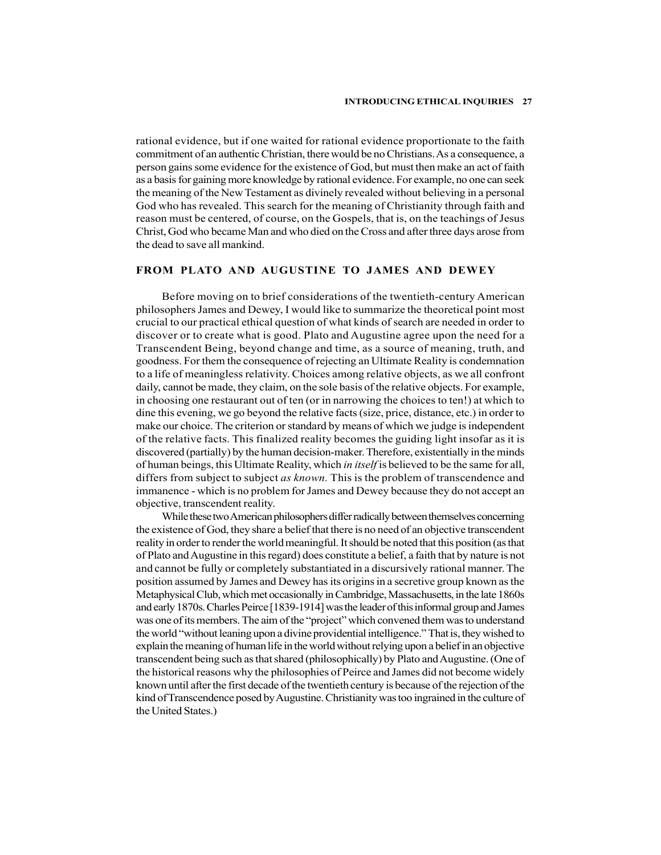rational evidence, but if one waited for rational evidence proportionate to the faith commitment of an authentic Christian, there would be no Christians. As a consequence, a person gains some evidence for the existence of God, but must then make an act of faith as a basis for gaining more knowledge by rational evidence. For example, no one can seek the meaning of the New Testament as divinely revealed without believing in a personal God who has revealed. This search for the meaning of Christianity through faith and reason must be centered, of course, on the Gospels, that is, on the teachings of Jesus Christ, God who became Man and who died on the Cross and after three days arose from the dead to save all mankind.

## FROM PLATO AND AUGUSTINE TO JAMES AND DEWEY

Before moving on to brief considerations of the twentieth-century American philosophers James and Dewey, I would like to summarize the theoretical point most crucial to our practical ethical question of what kinds of search are needed in order to discover or to create what is good. Plato and Augustine agree upon the need for a Transcendent Being, beyond change and time, as a source of meaning, truth, and goodness. For them the consequence of rejecting an Ultimate Reality is condemnation to a life of meaningless relativity. Choices among relative objects, as we all confront daily, cannot be made, they claim, on the sole basis of the relative objects. For example, in choosing one restaurant out of ten (or in narrowing the choices to ten!) at which to dine this evening, we go beyond the relative facts (size, price, distance, etc.) in order to make our choice. The criterion or standard by means of which we judge is independent of the relative facts. This finalized reality becomes the guiding light insofar as it is discovered (partially) by the human decision-maker. Therefore, existentially in the minds of human beings, this Ultimate Reality, which in itself is believed to be the same for all, differs from subject to subject *as known*. This is the problem of transcendence and immanence - which is no problem for James and Dewey because they do not accept an objective, transcendent reality.

While these two American philosophers differ radically between themselves concerning the existence of God, they share a belief that there is no need of an objective transcendent reality in order to render the world meaningful. It should be noted that this position (as that of Plato and Augustine in this regard) does constitute a belief, a faith that by nature is not and cannot be fully or completely substantiated in a discursively rational manner. The position assumed by James and Dewey has its origins in a secretive group known as the Metaphysical Club, which met occasionally in Cambridge, Massachusetts, in the late 1860s and early 1870s. Charles Peirce [1839-1914] was the leader of this informal group and James was one of its members. The aim of the "project" which convened them was to understand the world "without leaning upon a divine providential intelligence." That is, they wished to explain the meaning of human life in the world without relying upon a belief in an objective transcendent being such as that shared (philosophically) by Plato and Augustine. (One of the historical reasons why the philosophies of Peirce and James did not become widely known until after the first decade of the twentieth century is because of the rejection of the kind of Transcendence posed by Augustine. Christianity was too ingrained in the culture of the United States.)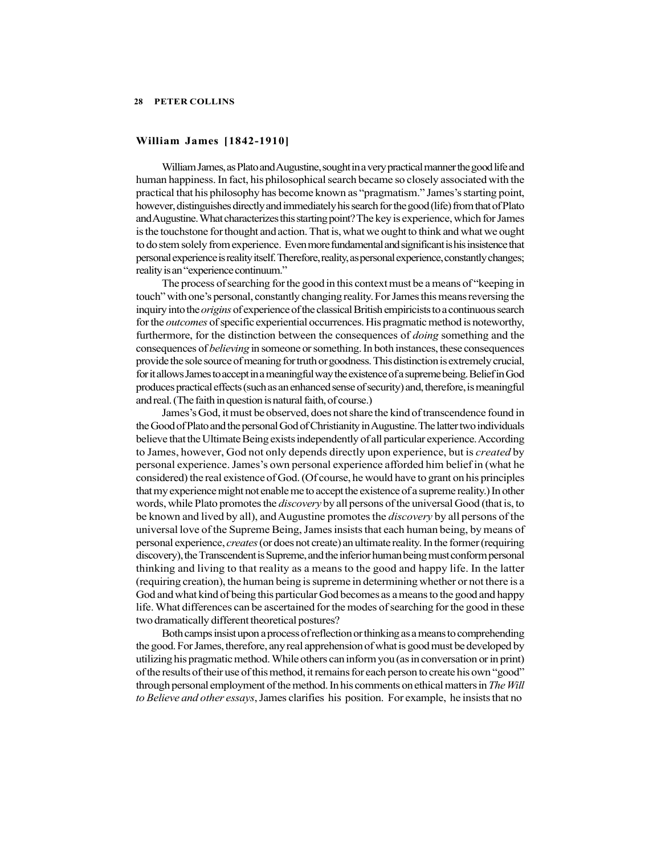## William James [1842-1910]

William James, as Plato and Augustine, sought in a very practical manner the good life and human happiness. In fact, his philosophical search became so closely associated with the practical that his philosophy has become known as "pragmatism." James's starting point, however, distinguishes directly and immediately his search for the good (life) from that of Plato and Augustine. What characterizes this starting point? The key is experience, which for James is the touchstone for thought and action. That is, what we ought to think and what we ought to do stem solely from experience. Even more fundamental and significant is his insistence that personal experience is reality itself. Therefore, reality, as personal experience, constantly changes; reality is an "experience continuum."

The process of searching for the good in this context must be a means of "keeping in touch" with one's personal, constantly changing reality. For James this means reversing the inquiry into the origins of experience of the classical British empiricists to a continuous search for the *outcomes* of specific experiential occurrences. His pragmatic method is noteworthy, furthermore, for the distinction between the consequences of doing something and the consequences of believing in someone or something. In both instances, these consequences provide the sole source of meaning for truth or goodness. This distinction is extremely crucial, for it allows James to accept in a meaningful way the existence of a supreme being. Belief in God produces practical effects (such as an enhanced sense of security) and, therefore, is meaningful and real. (The faith in question is natural faith, of course.)

James's God, it must be observed, does not share the kind of transcendence found in the Good of Plato and the personal God of Christianity in Augustine. The latter two individuals believe that the Ultimate Being exists independently of all particular experience. According to James, however, God not only depends directly upon experience, but is *created* by personal experience. James's own personal experience afforded him belief in (what he considered) the real existence of God. (Of course, he would have to grant on his principles that my experience might not enable me to accept the existence of a supreme reality.) In other words, while Plato promotes the *discovery* by all persons of the universal Good (that is, to be known and lived by all), and Augustine promotes the *discovery* by all persons of the universal love of the Supreme Being, James insists that each human being, by means of personal experience, creates (or does not create) an ultimate reality. In the former (requiring discovery), the Transcendent is Supreme, and the inferior human being must conform personal thinking and living to that reality as a means to the good and happy life. In the latter (requiring creation), the human being is supreme in determining whether or not there is a God and what kind of being this particular God becomes as a means to the good and happy life. What differences can be ascertained for the modes of searching for the good in these two dramatically different theoretical postures?

Both camps insist upon a process of reflection or thinking as a means to comprehending the good. For James, therefore, any real apprehension of what is good must be developed by utilizing his pragmatic method. While others can inform you (as in conversation or in print) of the results of their use of this method, it remains for each person to create his own "good" through personal employment of the method. In his comments on ethical matters in The Will to Believe and other essays, James clarifies his position. For example, he insists that no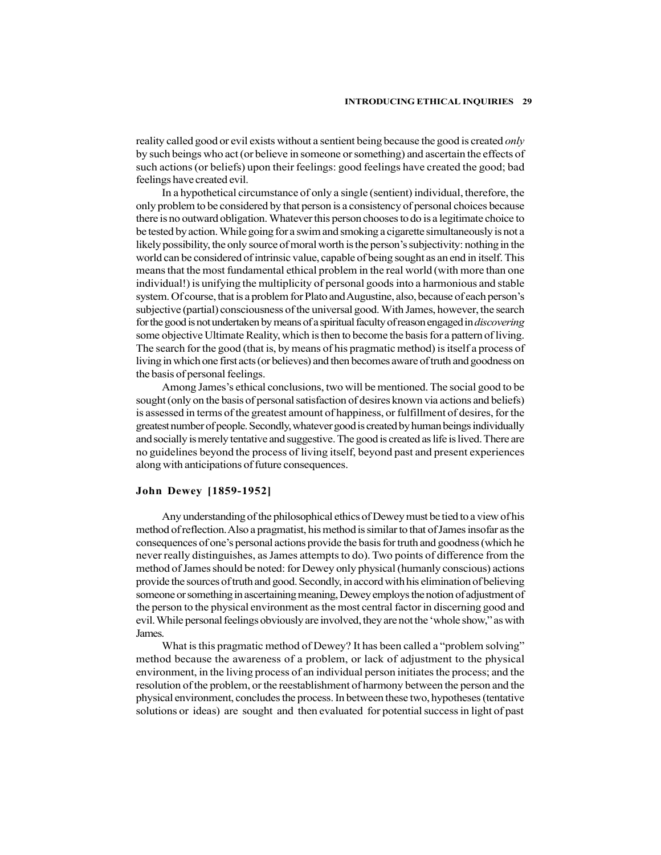reality called good or evil exists without a sentient being because the good is created *only* by such beings who act (or believe in someone or something) and ascertain the effects of such actions (or beliefs) upon their feelings: good feelings have created the good; bad feelings have created evil.

In a hypothetical circumstance of only a single (sentient) individual, therefore, the only problem to be considered by that person is a consistency of personal choices because there is no outward obligation. Whatever this person chooses to do is a legitimate choice to be tested by action. While going for a swim and smoking a cigarette simultaneously is not a likely possibility, the only source of moral worth is the person's subjectivity: nothing in the world can be considered of intrinsic value, capable of being sought as an end in itself. This means that the most fundamental ethical problem in the real world (with more than one individual!) is unifying the multiplicity of personal goods into a harmonious and stable system. Of course, that is a problem for Plato and Augustine, also, because of each person's subjective (partial) consciousness of the universal good. With James, however, the search for the good is not undertaken by means of a spiritual faculty of reason engaged in *discovering* some objective Ultimate Reality, which is then to become the basis for a pattern of living. The search for the good (that is, by means of his pragmatic method) is itself a process of living in which one first acts (or believes) and then becomes aware of truth and goodness on the basis of personal feelings.

Among James's ethical conclusions, two will be mentioned. The social good to be sought (only on the basis of personal satisfaction of desires known via actions and beliefs) is assessed in terms of the greatest amount of happiness, or fulfillment of desires, for the greatest number of people. Secondly, whatever good is created by human beings individually and socially is merely tentative and suggestive. The good is created as life is lived. There are no guidelines beyond the process of living itself, beyond past and present experiences along with anticipations of future consequences.

## John Dewey [1859-1952]

Any understanding of the philosophical ethics of Dewey must be tied to a view of his method of reflection. Also a pragmatist, his method is similar to that of James insofar as the consequences of one's personal actions provide the basis for truth and goodness (which he never really distinguishes, as James attempts to do). Two points of difference from the method of James should be noted: for Dewey only physical (humanly conscious) actions provide the sources of truth and good. Secondly, in accord with his elimination of believing someone or something in ascertaining meaning, Dewey employs the notion of adjustment of the person to the physical environment as the most central factor in discerning good and evil. While personal feelings obviously are involved, they are not the 'whole show," as with James.

What is this pragmatic method of Dewey? It has been called a "problem solving" method because the awareness of a problem, or lack of adjustment to the physical environment, in the living process of an individual person initiates the process; and the resolution of the problem, or the reestablishment of harmony between the person and the physical environment, concludes the process. In between these two, hypotheses (tentative solutions or ideas) are sought and then evaluated for potential success in light of past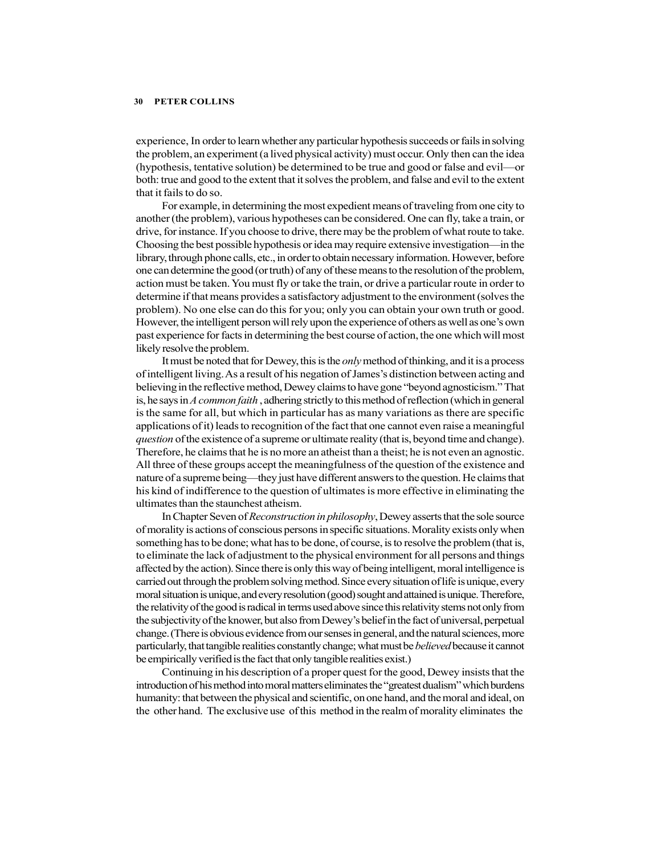experience, In order to learn whether any particular hypothesis succeeds or fails in solving the problem, an experiment (a lived physical activity) must occur. Only then can the idea (hypothesis, tentative solution) be determined to be true and good or false and evil—or both: true and good to the extent that it solves the problem, and false and evil to the extent that it fails to do so.

For example, in determining the most expedient means of traveling from one city to another (the problem), various hypotheses can be considered. One can fly, take a train, or drive, for instance. If you choose to drive, there may be the problem of what route to take. Choosing the best possible hypothesis or idea may require extensive investigation—in the library, through phone calls, etc., in order to obtain necessary information. However, before one can determine the good (or truth) of any of these means to the resolution of the problem, action must be taken. You must fly or take the train, or drive a particular route in order to determine if that means provides a satisfactory adjustment to the environment (solves the problem). No one else can do this for you; only you can obtain your own truth or good. However, the intelligent person will rely upon the experience of others as well as one's own past experience for facts in determining the best course of action, the one which will most likely resolve the problem.

It must be noted that for Dewey, this is the *only* method of thinking, and it is a process of intelligent living. As a result of his negation of James's distinction between acting and believing in the reflective method, Dewey claims to have gone "beyond agnosticism." That is, he says in A common faith, adhering strictly to this method of reflection (which in general is the same for all, but which in particular has as many variations as there are specific applications of it) leads to recognition of the fact that one cannot even raise a meaningful question of the existence of a supreme or ultimate reality (that is, beyond time and change). Therefore, he claims that he is no more an atheist than a theist; he is not even an agnostic. All three of these groups accept the meaningfulness of the question of the existence and nature of a supreme being—they just have different answers to the question. He claims that his kind of indifference to the question of ultimates is more effective in eliminating the ultimates than the staunchest atheism.

In Chapter Seven of Reconstruction in philosophy, Dewey asserts that the sole source of morality is actions of conscious persons in specific situations. Morality exists only when something has to be done; what has to be done, of course, is to resolve the problem (that is, to eliminate the lack of adjustment to the physical environment for all persons and things affected by the action). Since there is only this way of being intelligent, moral intelligence is carried out through the problem solving method. Since every situation of life is unique, every moral situation is unique, and every resolution (good) sought and attained is unique. Therefore, the relativity of the good is radical in terms used above since this relativity stems not only from the subjectivity of the knower, but also from Dewey's belief in the fact of universal, perpetual change. (There is obvious evidence from our senses in general, and the natural sciences, more particularly, that tangible realities constantly change; what must be *believed* because it cannot be empirically verified is the fact that only tangible realities exist.)

Continuing in his description of a proper quest for the good, Dewey insists that the introduction of his method into moral matters eliminates the "greatest dualism" which burdens humanity: that between the physical and scientific, on one hand, and the moral and ideal, on the other hand. The exclusive use of this method in the realm of morality eliminates the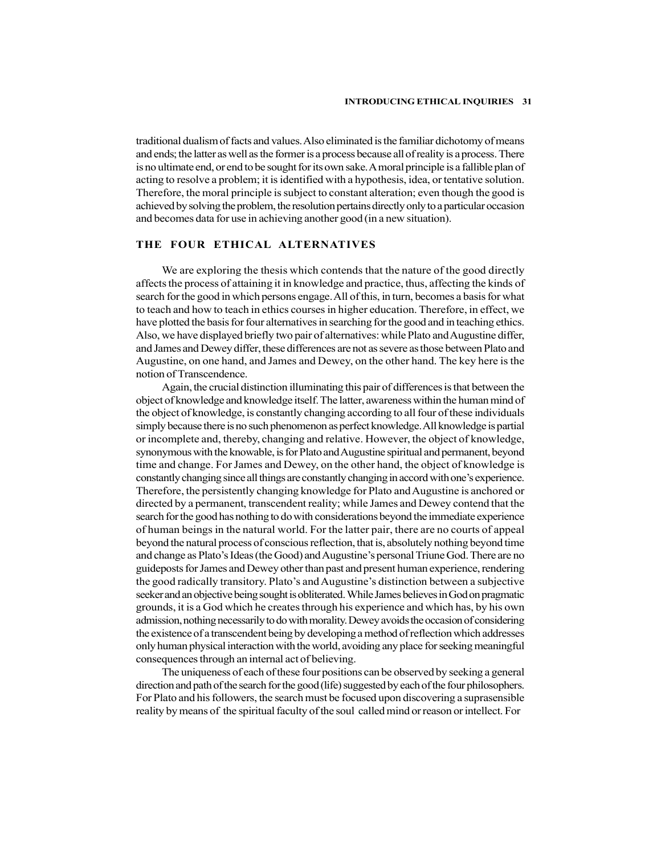traditional dualism of facts and values. Also eliminated is the familiar dichotomy of means and ends; the latter as well as the former is a process because all of reality is a process. There is no ultimate end, or end to be sought for its own sake. A moral principle is a fallible plan of acting to resolve a problem; it is identified with a hypothesis, idea, or tentative solution. Therefore, the moral principle is subject to constant alteration; even though the good is achieved by solving the problem, the resolution pertains directly only to a particular occasion and becomes data for use in achieving another good (in a new situation).

## THE FOUR ETHICAL ALTERNATIVES

We are exploring the thesis which contends that the nature of the good directly affects the process of attaining it in knowledge and practice, thus, affecting the kinds of search for the good in which persons engage. All of this, in turn, becomes a basis for what to teach and how to teach in ethics courses in higher education. Therefore, in effect, we have plotted the basis for four alternatives in searching for the good and in teaching ethics. Also, we have displayed briefly two pair of alternatives: while Plato and Augustine differ, and James and Dewey differ, these differences are not as severe as those between Plato and Augustine, on one hand, and James and Dewey, on the other hand. The key here is the notion of Transcendence.

Again, the crucial distinction illuminating this pair of differences is that between the object of knowledge and knowledge itself. The latter, awareness within the human mind of the object of knowledge, is constantly changing according to all four of these individuals simply because there is no such phenomenon as perfect knowledge. All knowledge is partial or incomplete and, thereby, changing and relative. However, the object of knowledge, synonymous with the knowable, is for Plato and Augustine spiritual and permanent, beyond time and change. For James and Dewey, on the other hand, the object of knowledge is constantly changing since all things are constantly changing in accord with one's experience. Therefore, the persistently changing knowledge for Plato and Augustine is anchored or directed by a permanent, transcendent reality; while James and Dewey contend that the search for the good has nothing to do with considerations beyond the immediate experience of human beings in the natural world. For the latter pair, there are no courts of appeal beyond the natural process of conscious reflection, that is, absolutely nothing beyond time and change as Plato's Ideas (the Good) and Augustine's personal Triune God. There are no guideposts for James and Dewey other than past and present human experience, rendering the good radically transitory. Plato's and Augustine's distinction between a subjective seeker and an objective being sought is obliterated. While James believes in God on pragmatic grounds, it is a God which he creates through his experience and which has, by his own admission, nothing necessarily to do with morality. Dewey avoids the occasion of considering the existence of a transcendent being by developing a method of reflection which addresses only human physical interaction with the world, avoiding any place for seeking meaningful consequences through an internal act of believing.

The uniqueness of each of these four positions can be observed by seeking a general direction and path of the search for the good (life) suggested by each of the four philosophers. For Plato and his followers, the search must be focused upon discovering a suprasensible reality by means of the spiritual faculty of the soul called mind or reason or intellect. For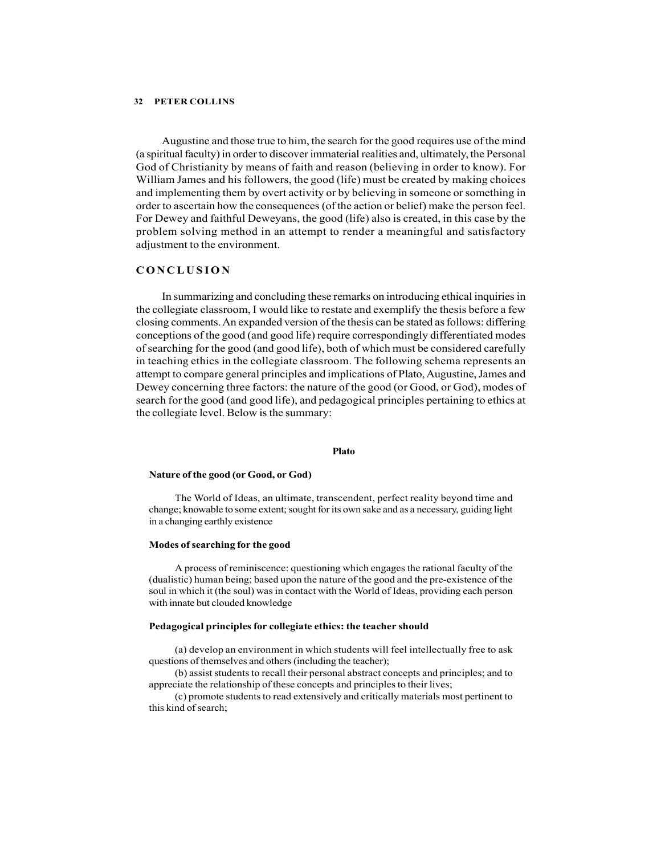Augustine and those true to him, the search for the good requires use of the mind (a spiritual faculty) in order to discover immaterial realities and, ultimately, the Personal God of Christianity by means of faith and reason (believing in order to know). For William James and his followers, the good (life) must be created by making choices and implementing them by overt activity or by believing in someone or something in order to ascertain how the consequences (of the action or belief) make the person feel. For Dewey and faithful Deweyans, the good (life) also is created, in this case by the problem solving method in an attempt to render a meaningful and satisfactory adjustment to the environment. **EXECT SET AS A COLLUME SET AS A COLLUME SET AS A COLLUME ADMOM CONDUCT A COLLUME (A Spiritual faculty) in order to discover immaterial realities and, ultimately, the Personal God of Christianity by means of faith and rea** 

In summarizing and concluding these remarks on introducing ethical inquiries in the collegiate classroom, I would like to restate and exemplify the thesis before a few closing comments. An expanded version of the thesis can be stated as follows: differing conceptions of the good (and good life) require correspondingly differentiated modes of searching for the good (and good life), both of which must be considered carefully in teaching ethics in the collegiate classroom. The following schema represents an attempt to compare general principles and implications of Plato, Augustine, James and Dewey concerning three factors: the nature of the good (or Good, or God), modes of search for the good (and good life), and pedagogical principles pertaining to ethics at the collegiate level. Below is the summary:

### Plato **Plato Plato Plato Plato**

#### Nature of the good (or Good, or God)

The World of Ideas, an ultimate, transcendent, perfect reality beyond time and change; knowable to some extent; sought for its own sake and as a necessary, guiding light in a changing earthly existence

### Modes of searching for the good

A process of reminiscence: questioning which engages the rational faculty of the (dualistic) human being; based upon the nature of the good and the pre-existence of the soul in which it (the soul) was in contact with the World of Ideas, providing each person with innate but clouded knowledge

#### Pedagogical principles for collegiate ethics: the teacher should

(a) develop an environment in which students will feel intellectually free to ask questions of themselves and others (including the teacher);

(b) assist students to recall their personal abstract concepts and principles; and to appreciate the relationship of these concepts and principles to their lives;

(c) promote students to read extensively and critically materials most pertinent to this kind of search;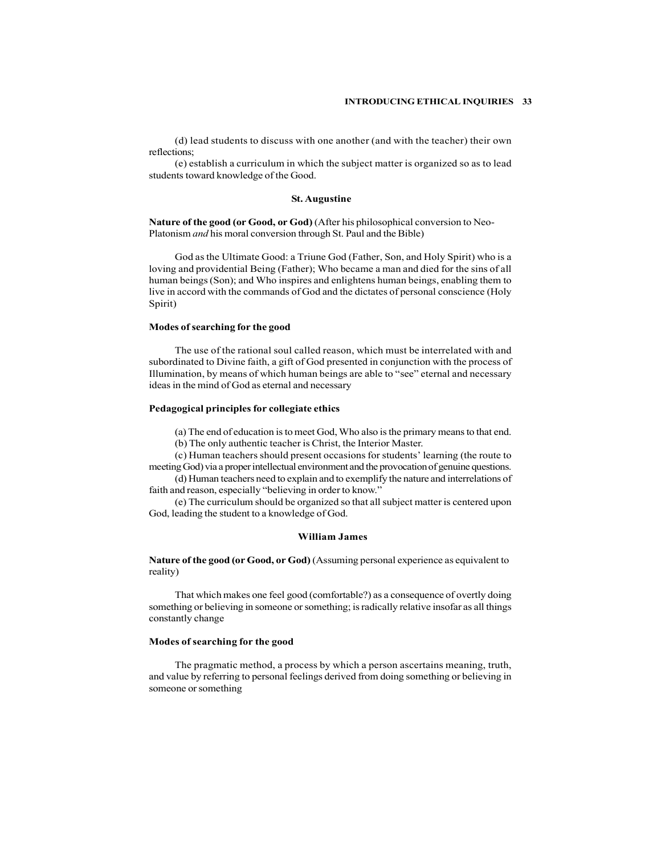(d) lead students to discuss with one another (and with the teacher) their own reflections;

(e) establish a curriculum in which the subject matter is organized so as to lead students toward knowledge of the Good.

#### St. Augustine

Nature of the good (or Good, or God) (After his philosophical conversion to Neo-Platonism and his moral conversion through St. Paul and the Bible)

God as the Ultimate Good: a Triune God (Father, Son, and Holy Spirit) who is a loving and providential Being (Father); Who became a man and died for the sins of all human beings (Son); and Who inspires and enlightens human beings, enabling them to live in accord with the commands of God and the dictates of personal conscience (Holy Spirit)

#### Modes of searching for the good

The use of the rational soul called reason, which must be interrelated with and subordinated to Divine faith, a gift of God presented in conjunction with the process of Illumination, by means of which human beings are able to "see" eternal and necessary ideas in the mind of God as eternal and necessary

## Pedagogical principles for collegiate ethics

(a) The end of education is to meet God, Who also is the primary means to that end.

(b) The only authentic teacher is Christ, the Interior Master.

(c) Human teachers should present occasions for students' learning (the route to meeting God) via a proper intellectual environment and the provocation of genuine questions.

(d) Human teachers need to explain and to exemplify the nature and interrelations of faith and reason, especially "believing in order to know."

(e) The curriculum should be organized so that all subject matter is centered upon God, leading the student to a knowledge of God.

## William James

Nature of the good (or Good, or God) (Assuming personal experience as equivalent to reality)

That which makes one feel good (comfortable?) as a consequence of overtly doing something or believing in someone or something; is radically relative insofar as all things constantly change

## Modes of searching for the good

The pragmatic method, a process by which a person ascertains meaning, truth, and value by referring to personal feelings derived from doing something or believing in someone or something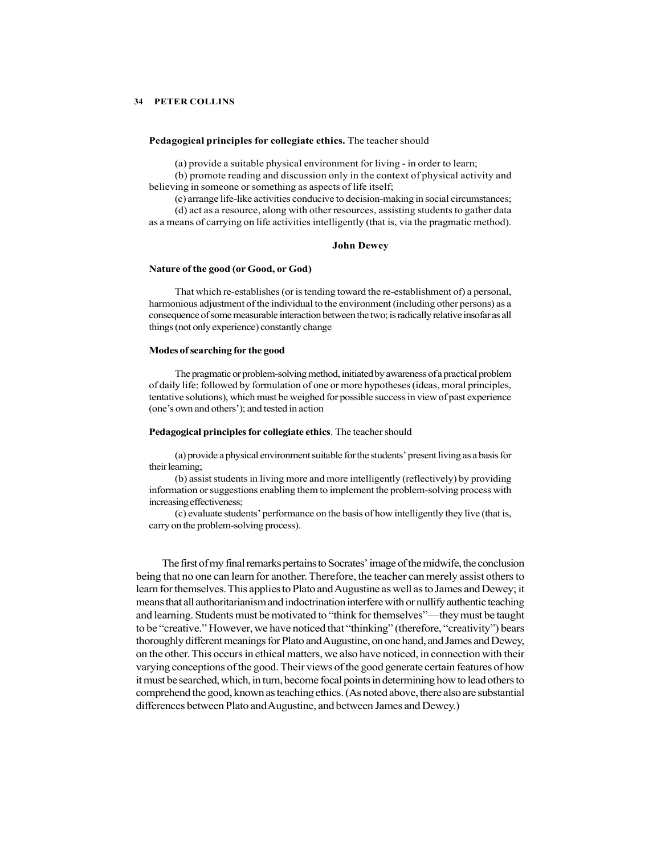#### Pedagogical principles for collegiate ethics. The teacher should

(a) provide a suitable physical environment for living - in order to learn;

(b) promote reading and discussion only in the context of physical activity and believing in someone or something as aspects of life itself;

(c) arrange life-like activities conducive to decision-making in social circumstances;

(d) act as a resource, along with other resources, assisting students to gather data as a means of carrying on life activities intelligently (that is, via the pragmatic method).

#### John Dewey

## Nature of the good (or Good, or God)

That which re-establishes (or is tending toward the re-establishment of) a personal, harmonious adjustment of the individual to the environment (including other persons) as a consequence of some measurable interaction between the two; is radically relative insofar as all things (not only experience) constantly change

## Modes of searching for the good

The pragmatic or problem-solving method, initiated by awareness of a practical problem of daily life; followed by formulation of one or more hypotheses (ideas, moral principles, tentative solutions), which must be weighed for possible success in view of past experience (one's own and others'); and tested in action

#### Pedagogical principles for collegiate ethics. The teacher should

(a) provide a physical environment suitable for the students' present living as a basis for their learning;

(b) assist students in living more and more intelligently (reflectively) by providing information or suggestions enabling them to implement the problem-solving process with increasing effectiveness;

(c) evaluate students' performance on the basis of how intelligently they live (that is, carry on the problem-solving process).

The first of my final remarks pertains to Socrates' image of the midwife, the conclusion being that no one can learn for another. Therefore, the teacher can merely assist others to learn for themselves. This applies to Plato and Augustine as well as to James and Dewey; it means that all authoritarianism and indoctrination interfere with or nullify authentic teaching and learning. Students must be motivated to "think for themselves"—they must be taught to be "creative." However, we have noticed that "thinking" (therefore, "creativity") bears thoroughly different meanings for Plato and Augustine, on one hand, and James and Dewey, on the other. This occurs in ethical matters, we also have noticed, in connection with their varying conceptions of the good. Their views of the good generate certain features of how it must be searched, which, in turn, become focal points in determining how to lead others to comprehend the good, known as teaching ethics. (As noted above, there also are substantial differences between Plato and Augustine, and between James and Dewey.)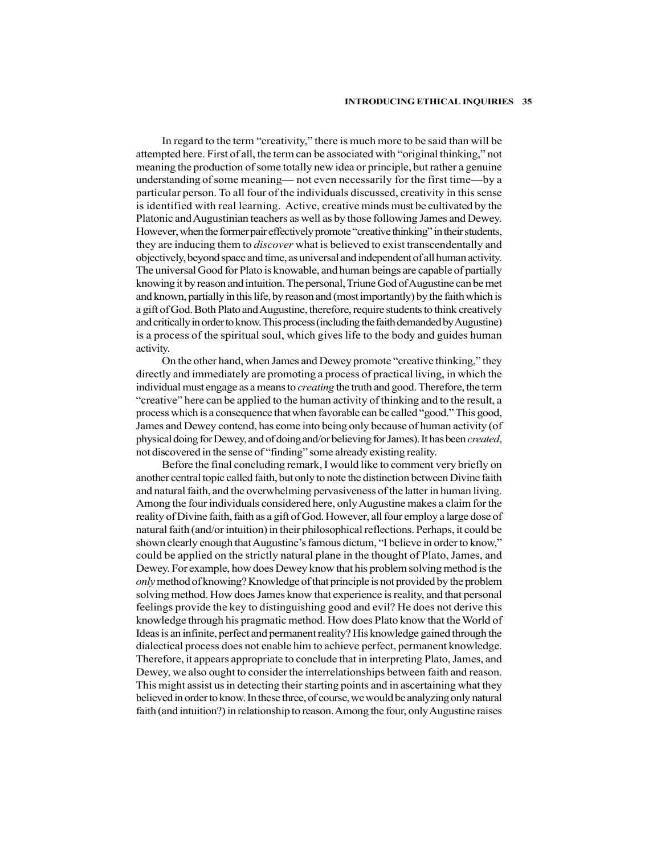In regard to the term "creativity," there is much more to be said than will be attempted here. First of all, the term can be associated with "original thinking," not meaning the production of some totally new idea or principle, but rather a genuine understanding of some meaning— not even necessarily for the first time—by a particular person. To all four of the individuals discussed, creativity in this sense is identified with real learning. Active, creative minds must be cultivated by the Platonic and Augustinian teachers as well as by those following James and Dewey. However, when the former pair effectively promote "creative thinking" in their students, they are inducing them to *discover* what is believed to exist transcendentally and objectively, beyond space and time, as universal and independent of all human activity. The universal Good for Plato is knowable, and human beings are capable of partially knowing it by reason and intuition. The personal, Triune God of Augustine can be met and known, partially in this life, by reason and (most importantly) by the faith which is a gift of God. Both Plato and Augustine, therefore, require students to think creatively and critically in order to know. This process (including the faith demanded by Augustine) is a process of the spiritual soul, which gives life to the body and guides human activity.

On the other hand, when James and Dewey promote "creative thinking," they directly and immediately are promoting a process of practical living, in which the individual must engage as a means to *creating* the truth and good. Therefore, the term "creative" here can be applied to the human activity of thinking and to the result, a process which is a consequence that when favorable can be called "good." This good, James and Dewey contend, has come into being only because of human activity (of physical doing for Dewey, and of doing and/or believing for James). It has been created, not discovered in the sense of "finding" some already existing reality.

Before the final concluding remark, I would like to comment very briefly on another central topic called faith, but only to note the distinction between Divine faith and natural faith, and the overwhelming pervasiveness of the latter in human living. Among the four individuals considered here, only Augustine makes a claim for the reality of Divine faith, faith as a gift of God. However, all four employ a large dose of natural faith (and/or intuition) in their philosophical reflections. Perhaps, it could be shown clearly enough that Augustine's famous dictum, "I believe in order to know," could be applied on the strictly natural plane in the thought of Plato, James, and Dewey. For example, how does Dewey know that his problem solving method is the only method of knowing? Knowledge of that principle is not provided by the problem solving method. How does James know that experience is reality, and that personal feelings provide the key to distinguishing good and evil? He does not derive this knowledge through his pragmatic method. How does Plato know that the World of Ideas is an infinite, perfect and permanent reality? His knowledge gained through the dialectical process does not enable him to achieve perfect, permanent knowledge. Therefore, it appears appropriate to conclude that in interpreting Plato, James, and Dewey, we also ought to consider the interrelationships between faith and reason. This might assist us in detecting their starting points and in ascertaining what they believed in order to know. In these three, of course, we would be analyzing only natural faith (and intuition?) in relationship to reason. Among the four, only Augustine raises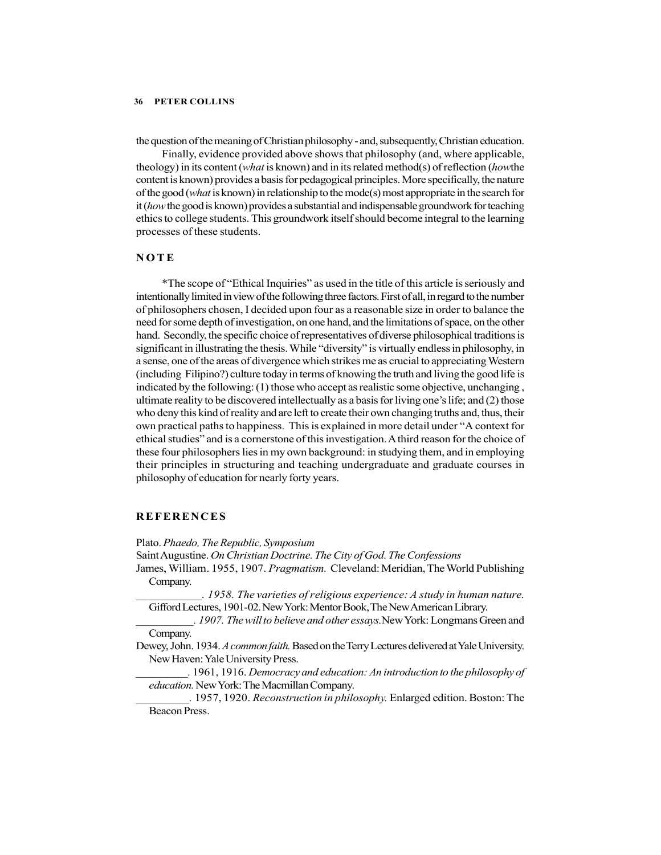the question of the meaning of Christian philosophy - and, subsequently, Christian education.

Finally, evidence provided above shows that philosophy (and, where applicable, theology) in its content (*what* is known) and in its related method(s) of reflection (*howthe* content is known) provides a basis for pedagogical principles. More specifically, the nature of the good (*what* is known) in relationship to the mode(s) most appropriate in the search for it (how the good is known) provides a substantial and indispensable groundwork for teaching ethics to college students. This groundwork itself should become integral to the learning processes of these students. FIER COLLINS<br>
the question of the meaning of Christian philosophy - and, subsequently, Christian education<br>
Finally, evidence provided above shows that philosophy (and, where applicable<br>
theology) in its content (what is k

\*The scope of "Ethical Inquiries" as used in the title of this article is seriously and intentionally limited in view of the following three factors. First of all, in regard to the number of philosophers chosen, I decided upon four as a reasonable size in order to balance the need for some depth of investigation, on one hand, and the limitations of space, on the other hand. Secondly, the specific choice of representatives of diverse philosophical traditions is significant in illustrating the thesis. While "diversity" is virtually endless in philosophy, in a sense, one of the areas of divergence which strikes me as crucial to appreciating Western (including Filipino?) culture today in terms of knowing the truth and living the good life is indicated by the following: (1) those who accept as realistic some objective, unchanging , ultimate reality to be discovered intellectually as a basis for living one's life; and (2) those who deny this kind of reality and are left to create their own changing truths and, thus, their own practical paths to happiness. This is explained in more detail under "A context for ethical studies" and is a cornerstone of this investigation. A third reason for the choice of these four philosophers lies in my own background: in studying them, and in employing their principles in structuring and teaching undergraduate and graduate courses in philosophy of education for nearly forty years. **Solution**<br> **REFERENCES**<br> **REFERENCES**<br> **REFERENCES**<br> **PERENCISES**<br> **PERENCISES**<br> **PERENCISES**<br> **PERENCISES**<br> **PERENCISES**<br> **PERENCISES**<br> **PERENCISES**<br> **PERENCISES**<br> **PERENCISE TO SOME AND CONSTRANT ON THE SURFERENCIS (<b>P** 

Plato. Phaedo, The Republic, Symposium

Saint Augustine. On Christian Doctrine. The City of God. The Confessions

- James, William. 1955, 1907. Pragmatism. Cleveland: Meridian, The World Publishing Company.
	- \_\_\_\_\_\_\_\_\_\_\_. 1958. The varieties of religious experience: A study in human nature. Gifford Lectures, 1901-02. New York: Mentor Book, The New American Library.
- . 1907. The will to believe and other essays. New York: Longmans Green and Company.
- Dewey, John. 1934. A common faith. Based on the Terry Lectures delivered at Yale University. New Haven: Yale University Press.
- \_\_\_\_\_\_\_\_\_. 1961, 1916. Democracy and education: An introduction to the philosophy of education. New York: The Macmillan Company.
- \_\_\_\_\_\_\_\_\_. 1957, 1920. Reconstruction in philosophy. Enlarged edition. Boston: The Beacon Press.